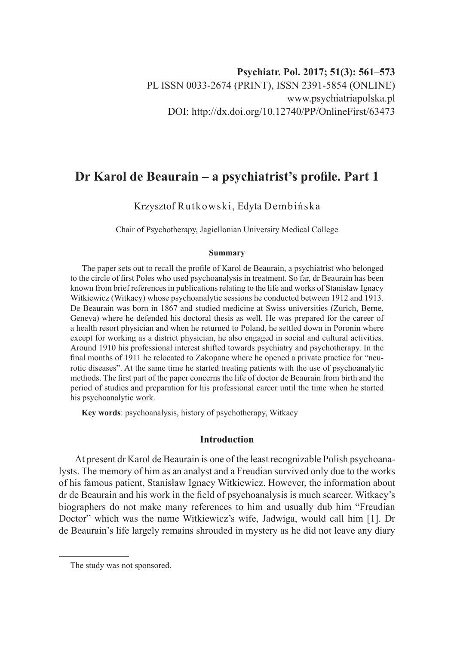# **Dr Karol de Beaurain – a psychiatrist's profile. Part 1**

Krzysztof Rutkowski, Edyta Dembińska

Chair of Psychotherapy, Jagiellonian University Medical College

#### **Summary**

The paper sets out to recall the profile of Karol de Beaurain, a psychiatrist who belonged to the circle of first Poles who used psychoanalysis in treatment. So far, dr Beaurain has been known from brief references in publications relating to the life and works of Stanisław Ignacy Witkiewicz (Witkacy) whose psychoanalytic sessions he conducted between 1912 and 1913. De Beaurain was born in 1867 and studied medicine at Swiss universities (Zurich, Berne, Geneva) where he defended his doctoral thesis as well. He was prepared for the career of a health resort physician and when he returned to Poland, he settled down in Poronin where except for working as a district physician, he also engaged in social and cultural activities. Around 1910 his professional interest shifted towards psychiatry and psychotherapy. In the final months of 1911 he relocated to Zakopane where he opened a private practice for "neurotic diseases". At the same time he started treating patients with the use of psychoanalytic methods. The first part of the paper concerns the life of doctor de Beaurain from birth and the period of studies and preparation for his professional career until the time when he started his psychoanalytic work.

**Key words**: psychoanalysis, history of psychotherapy, Witkacy

### **Introduction**

At present dr Karol de Beaurain is one of the least recognizable Polish psychoanalysts. The memory of him as an analyst and a Freudian survived only due to the works of his famous patient, Stanisław Ignacy Witkiewicz. However, the information about dr de Beaurain and his work in the field of psychoanalysis is much scarcer. Witkacy's biographers do not make many references to him and usually dub him "Freudian Doctor" which was the name Witkiewicz's wife, Jadwiga, would call him [1]. Dr de Beaurain's life largely remains shrouded in mystery as he did not leave any diary

The study was not sponsored.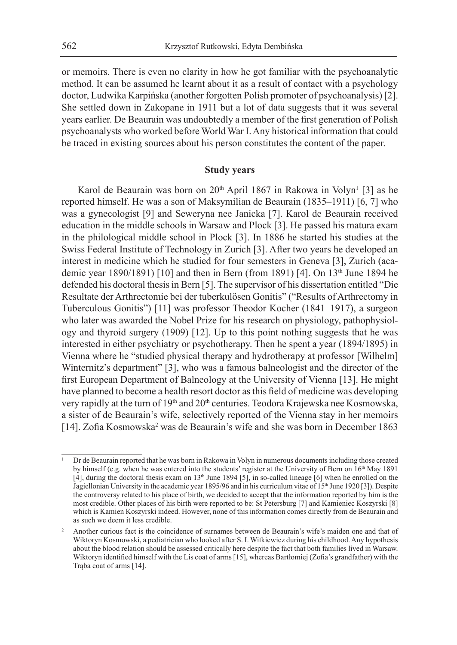or memoirs. There is even no clarity in how he got familiar with the psychoanalytic method. It can be assumed he learnt about it as a result of contact with a psychology doctor, Ludwika Karpińska (another forgotten Polish promoter of psychoanalysis) [2]. She settled down in Zakopane in 1911 but a lot of data suggests that it was several years earlier. De Beaurain was undoubtedly a member of the first generation of Polish psychoanalysts who worked before World War I. Any historical information that could be traced in existing sources about his person constitutes the content of the paper.

# **Study years**

Karol de Beaurain was born on 20<sup>th</sup> April 1867 in Rakowa in Volyn<sup>1</sup> [3] as he reported himself. He was a son of Maksymilian de Beaurain (1835–1911) [6, 7] who was a gynecologist [9] and Seweryna nee Janicka [7]. Karol de Beaurain received education in the middle schools in Warsaw and Plock [3]. He passed his matura exam in the philological middle school in Plock [3]. In 1886 he started his studies at the Swiss Federal Institute of Technology in Zurich [3]. After two years he developed an interest in medicine which he studied for four semesters in Geneva [3], Zurich (academic year 1890/1891) [10] and then in Bern (from 1891) [4]. On 13<sup>th</sup> June 1894 he defended his doctoral thesis in Bern [5]. The supervisor of his dissertation entitled "Die Resultate der Arthrectomie bei der tuberkulösen Gonitis" ("Results of Arthrectomy in Tuberculous Gonitis") [11] was professor Theodor Kocher (1841–1917), a surgeon who later was awarded the Nobel Prize for his research on physiology, pathophysiology and thyroid surgery (1909) [12]. Up to this point nothing suggests that he was interested in either psychiatry or psychotherapy. Then he spent a year (1894/1895) in Vienna where he "studied physical therapy and hydrotherapy at professor [Wilhelm] Winternitz's department" [3], who was a famous balneologist and the director of the first European Department of Balneology at the University of Vienna [13]. He might have planned to become a health resort doctor as this field of medicine was developing very rapidly at the turn of 19<sup>th</sup> and 20<sup>th</sup> centuries. Teodora Krajewska nee Kosmowska, a sister of de Beaurain's wife, selectively reported of the Vienna stay in her memoirs [14]. Zofia Kosmowska<sup>2</sup> was de Beaurain's wife and she was born in December 1863

<sup>1</sup> Dr de Beaurain reported that he was born in Rakowa in Volyn in numerous documents including those created by himself (e.g. when he was entered into the students' register at the University of Bern on 16<sup>th</sup> May 1891 [4], during the doctoral thesis exam on 13th June 1894 [5], in so-called lineage [6] when he enrolled on the Jagiellonian University in the academic year 1895/96 and in his curriculum vitae of 15<sup>th</sup> June 1920 [3]). Despite the controversy related to his place of birth, we decided to accept that the information reported by him is the most credible. Other places of his birth were reported to be: St Petersburg [7] and Kamieniec Koszyrski [8] which is Kamien Koszyrski indeed. However, none of this information comes directly from de Beaurain and as such we deem it less credible.

<sup>&</sup>lt;sup>2</sup> Another curious fact is the coincidence of surnames between de Beaurain's wife's maiden one and that of Wiktoryn Kosmowski, a pediatrician who looked after S. I. Witkiewicz during his childhood. Any hypothesis about the blood relation should be assessed critically here despite the fact that both families lived in Warsaw. Wiktoryn identified himself with the Lis coat of arms [15], whereas Bartłomiej (Zofia's grandfather) with the Trąba coat of arms [14].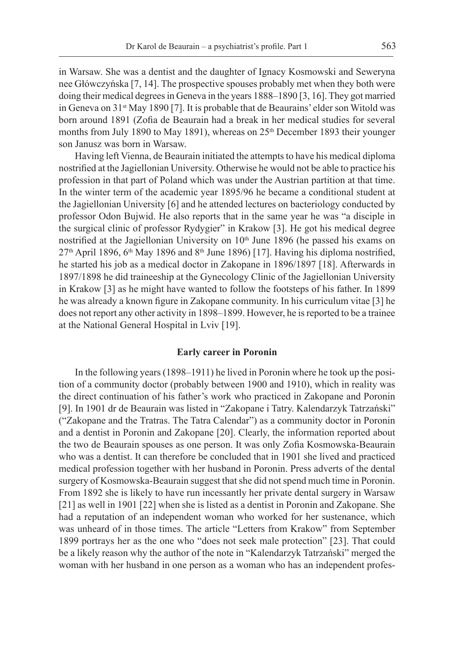in Warsaw. She was a dentist and the daughter of Ignacy Kosmowski and Seweryna nee Główczyńska [7, 14]. The prospective spouses probably met when they both were doing their medical degrees in Geneva in the years 1888–1890 [3, 16]. They got married in Geneva on 31st May 1890 [7]. It is probable that de Beaurains' elder son Witold was born around 1891 (Zofia de Beaurain had a break in her medical studies for several months from July 1890 to May 1891), whereas on  $25<sup>th</sup>$  December 1893 their younger son Janusz was born in Warsaw.

Having left Vienna, de Beaurain initiated the attempts to have his medical diploma nostrified at the Jagiellonian University. Otherwise he would not be able to practice his profession in that part of Poland which was under the Austrian partition at that time. In the winter term of the academic year 1895/96 he became a conditional student at the Jagiellonian University [6] and he attended lectures on bacteriology conducted by professor Odon Bujwid. He also reports that in the same year he was "a disciple in the surgical clinic of professor Rydygier" in Krakow [3]. He got his medical degree nostrified at the Jagiellonian University on 10<sup>th</sup> June 1896 (he passed his exams on  $27<sup>th</sup>$  April 1896, 6<sup>th</sup> May 1896 and 8<sup>th</sup> June 1896) [17]. Having his diploma nostrified, he started his job as a medical doctor in Zakopane in 1896/1897 [18]. Afterwards in 1897/1898 he did traineeship at the Gynecology Clinic of the Jagiellonian University in Krakow [3] as he might have wanted to follow the footsteps of his father. In 1899 he was already a known figure in Zakopane community. In his curriculum vitae [3] he does not report any other activity in 1898–1899. However, he is reported to be a trainee at the National General Hospital in Lviv [19].

#### **Early career in Poronin**

In the following years (1898–1911) he lived in Poronin where he took up the position of a community doctor (probably between 1900 and 1910), which in reality was the direct continuation of his father's work who practiced in Zakopane and Poronin [9]. In 1901 dr de Beaurain was listed in "Zakopane i Tatry. Kalendarzyk Tatrzański" ("Zakopane and the Tratras. The Tatra Calendar") as a community doctor in Poronin and a dentist in Poronin and Zakopane [20]. Clearly, the information reported about the two de Beaurain spouses as one person. It was only Zofia Kosmowska-Beaurain who was a dentist. It can therefore be concluded that in 1901 she lived and practiced medical profession together with her husband in Poronin. Press adverts of the dental surgery of Kosmowska-Beaurain suggest that she did not spend much time in Poronin. From 1892 she is likely to have run incessantly her private dental surgery in Warsaw [21] as well in 1901 [22] when she is listed as a dentist in Poronin and Zakopane. She had a reputation of an independent woman who worked for her sustenance, which was unheard of in those times. The article "Letters from Krakow" from September 1899 portrays her as the one who "does not seek male protection" [23]. That could be a likely reason why the author of the note in "Kalendarzyk Tatrzański" merged the woman with her husband in one person as a woman who has an independent profes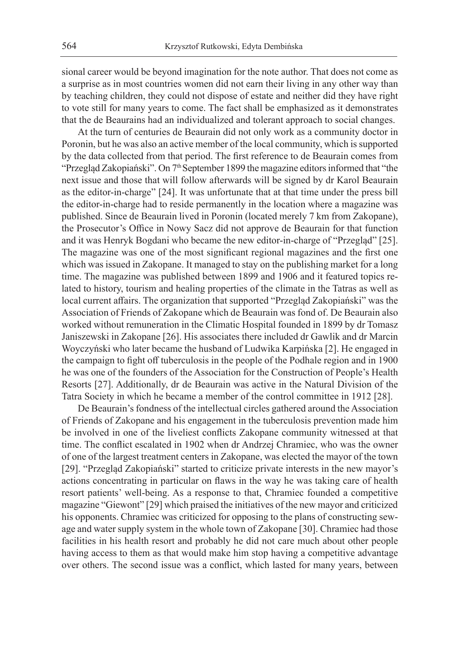sional career would be beyond imagination for the note author. That does not come as a surprise as in most countries women did not earn their living in any other way than by teaching children, they could not dispose of estate and neither did they have right to vote still for many years to come. The fact shall be emphasized as it demonstrates that the de Beaurains had an individualized and tolerant approach to social changes.

At the turn of centuries de Beaurain did not only work as a community doctor in Poronin, but he was also an active member of the local community, which is supported by the data collected from that period. The first reference to de Beaurain comes from "Przegląd Zakopiański". On 7<sup>th</sup> September 1899 the magazine editors informed that "the next issue and those that will follow afterwards will be signed by dr Karol Beaurain as the editor-in-charge" [24]. It was unfortunate that at that time under the press bill the editor-in-charge had to reside permanently in the location where a magazine was published. Since de Beaurain lived in Poronin (located merely 7 km from Zakopane), the Prosecutor's Office in Nowy Sacz did not approve de Beaurain for that function and it was Henryk Bogdani who became the new editor-in-charge of "Przegląd" [25]. The magazine was one of the most significant regional magazines and the first one which was issued in Zakopane. It managed to stay on the publishing market for a long time. The magazine was published between 1899 and 1906 and it featured topics related to history, tourism and healing properties of the climate in the Tatras as well as local current affairs. The organization that supported "Przegląd Zakopiański" was the Association of Friends of Zakopane which de Beaurain was fond of. De Beaurain also worked without remuneration in the Climatic Hospital founded in 1899 by dr Tomasz Janiszewski in Zakopane [26]. His associates there included dr Gawlik and dr Marcin Woyczyński who later became the husband of Ludwika Karpińska [2]. He engaged in the campaign to fight off tuberculosis in the people of the Podhale region and in 1900 he was one of the founders of the Association for the Construction of People's Health Resorts [27]. Additionally, dr de Beaurain was active in the Natural Division of the Tatra Society in which he became a member of the control committee in 1912 [28].

De Beaurain's fondness of the intellectual circles gathered around the Association of Friends of Zakopane and his engagement in the tuberculosis prevention made him be involved in one of the liveliest conflicts Zakopane community witnessed at that time. The conflict escalated in 1902 when dr Andrzej Chramiec, who was the owner of one of the largest treatment centers in Zakopane, was elected the mayor of the town [29]. "Przegląd Zakopiański" started to criticize private interests in the new mayor's actions concentrating in particular on flaws in the way he was taking care of health resort patients' well-being. As a response to that, Chramiec founded a competitive magazine "Giewont" [29] which praised the initiatives of the new mayor and criticized his opponents. Chramiec was criticized for opposing to the plans of constructing sewage and water supply system in the whole town of Zakopane [30]. Chramiec had those facilities in his health resort and probably he did not care much about other people having access to them as that would make him stop having a competitive advantage over others. The second issue was a conflict, which lasted for many years, between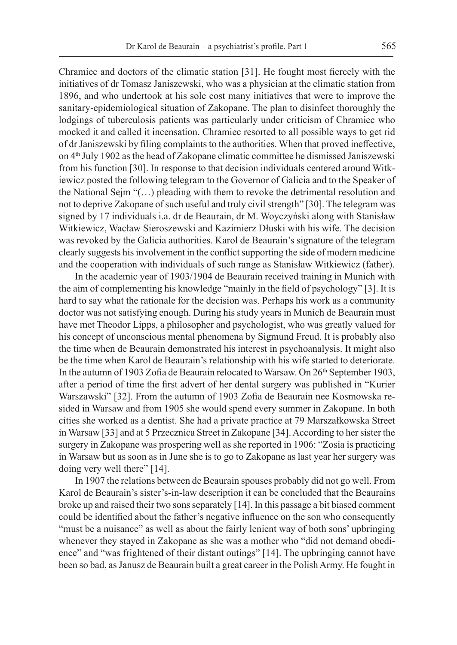Chramiec and doctors of the climatic station [31]. He fought most fiercely with the initiatives of dr Tomasz Janiszewski, who was a physician at the climatic station from 1896, and who undertook at his sole cost many initiatives that were to improve the sanitary-epidemiological situation of Zakopane. The plan to disinfect thoroughly the lodgings of tuberculosis patients was particularly under criticism of Chramiec who mocked it and called it incensation. Chramiec resorted to all possible ways to get rid of dr Janiszewski by filing complaints to the authorities. When that proved ineffective, on 4th July 1902 as the head of Zakopane climatic committee he dismissed Janiszewski from his function [30]. In response to that decision individuals centered around Witkiewicz posted the following telegram to the Governor of Galicia and to the Speaker of the National Sejm "(…) pleading with them to revoke the detrimental resolution and not to deprive Zakopane of such useful and truly civil strength" [30]. The telegram was signed by 17 individuals i.a. dr de Beaurain, dr M. Woyczyński along with Stanisław Witkiewicz, Wacław Sieroszewski and Kazimierz Dłuski with his wife. The decision was revoked by the Galicia authorities. Karol de Beaurain's signature of the telegram clearly suggests his involvement in the conflict supporting the side of modern medicine and the cooperation with individuals of such range as Stanisław Witkiewicz (father).

In the academic year of 1903/1904 de Beaurain received training in Munich with the aim of complementing his knowledge "mainly in the field of psychology" [3]. It is hard to say what the rationale for the decision was. Perhaps his work as a community doctor was not satisfying enough. During his study years in Munich de Beaurain must have met Theodor Lipps, a philosopher and psychologist, who was greatly valued for his concept of unconscious mental phenomena by Sigmund Freud. It is probably also the time when de Beaurain demonstrated his interest in psychoanalysis. It might also be the time when Karol de Beaurain's relationship with his wife started to deteriorate. In the autumn of 1903 Zofia de Beaurain relocated to Warsaw. On 26<sup>th</sup> September 1903, after a period of time the first advert of her dental surgery was published in "Kurier Warszawski" [32]. From the autumn of 1903 Zofia de Beaurain nee Kosmowska resided in Warsaw and from 1905 she would spend every summer in Zakopane. In both cities she worked as a dentist. She had a private practice at 79 Marszałkowska Street in Warsaw [33] and at 5 Przecznica Street in Zakopane [34]. According to her sister the surgery in Zakopane was prospering well as she reported in 1906: "Zosia is practicing in Warsaw but as soon as in June she is to go to Zakopane as last year her surgery was doing very well there" [14].

In 1907 the relations between de Beaurain spouses probably did not go well. From Karol de Beaurain's sister's-in-law description it can be concluded that the Beaurains broke up and raised their two sons separately [14]. In this passage a bit biased comment could be identified about the father's negative influence on the son who consequently "must be a nuisance" as well as about the fairly lenient way of both sons' upbringing whenever they stayed in Zakopane as she was a mother who "did not demand obedience" and "was frightened of their distant outings" [14]. The upbringing cannot have been so bad, as Janusz de Beaurain built a great career in the Polish Army. He fought in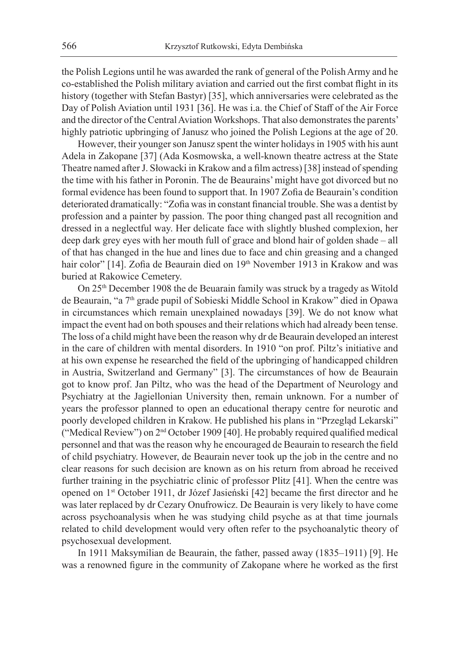the Polish Legions until he was awarded the rank of general of the Polish Army and he co-established the Polish military aviation and carried out the first combat flight in its history (together with Stefan Bastyr) [35], which anniversaries were celebrated as the Day of Polish Aviation until 1931 [36]. He was i.a. the Chief of Staff of the Air Force and the director of the Central Aviation Workshops. That also demonstrates the parents' highly patriotic upbringing of Janusz who joined the Polish Legions at the age of 20.

However, their younger son Janusz spent the winter holidays in 1905 with his aunt Adela in Zakopane [37] (Ada Kosmowska, a well-known theatre actress at the State Theatre named after J. Słowacki in Krakow and a film actress) [38] instead of spending the time with his father in Poronin. The de Beaurains' might have got divorced but no formal evidence has been found to support that. In 1907 Zofia de Beaurain's condition deteriorated dramatically: "Zofia was in constant financial trouble. She was a dentist by profession and a painter by passion. The poor thing changed past all recognition and dressed in a neglectful way. Her delicate face with slightly blushed complexion, her deep dark grey eyes with her mouth full of grace and blond hair of golden shade – all of that has changed in the hue and lines due to face and chin greasing and a changed hair color" [14]. Zofia de Beaurain died on 19<sup>th</sup> November 1913 in Krakow and was buried at Rakowice Cemetery.

On 25th December 1908 the de Beuarain family was struck by a tragedy as Witold de Beaurain, "a 7th grade pupil of Sobieski Middle School in Krakow" died in Opawa in circumstances which remain unexplained nowadays [39]. We do not know what impact the event had on both spouses and their relations which had already been tense. The loss of a child might have been the reason why dr de Beaurain developed an interest in the care of children with mental disorders. In 1910 "on prof. Piltz's initiative and at his own expense he researched the field of the upbringing of handicapped children in Austria, Switzerland and Germany" [3]. The circumstances of how de Beaurain got to know prof. Jan Piltz, who was the head of the Department of Neurology and Psychiatry at the Jagiellonian University then, remain unknown. For a number of years the professor planned to open an educational therapy centre for neurotic and poorly developed children in Krakow. He published his plans in "Przegląd Lekarski" ("Medical Review") on 2nd October 1909 [40]. He probably required qualified medical personnel and that was the reason why he encouraged de Beaurain to research the field of child psychiatry. However, de Beaurain never took up the job in the centre and no clear reasons for such decision are known as on his return from abroad he received further training in the psychiatric clinic of professor Plitz [41]. When the centre was opened on 1st October 1911, dr Józef Jasieński [42] became the first director and he was later replaced by dr Cezary Onufrowicz. De Beaurain is very likely to have come across psychoanalysis when he was studying child psyche as at that time journals related to child development would very often refer to the psychoanalytic theory of psychosexual development.

In 1911 Maksymilian de Beaurain, the father, passed away (1835–1911) [9]. He was a renowned figure in the community of Zakopane where he worked as the first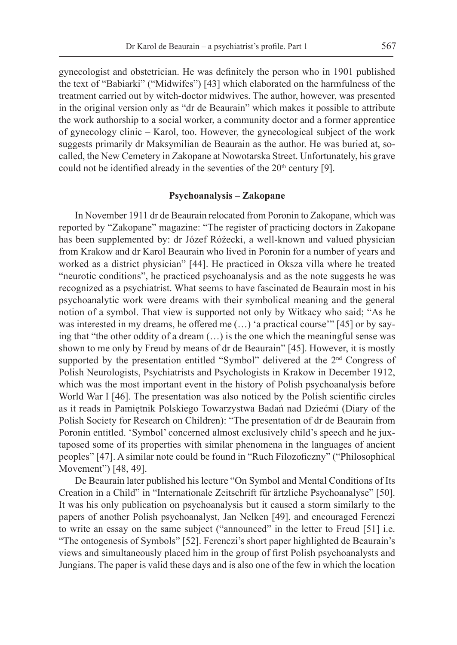gynecologist and obstetrician. He was definitely the person who in 1901 published the text of "Babiarki" ("Midwifes") [43] which elaborated on the harmfulness of the treatment carried out by witch-doctor midwives. The author, however, was presented in the original version only as "dr de Beaurain" which makes it possible to attribute the work authorship to a social worker, a community doctor and a former apprentice of gynecology clinic – Karol, too. However, the gynecological subject of the work suggests primarily dr Maksymilian de Beaurain as the author. He was buried at, socalled, the New Cemetery in Zakopane at Nowotarska Street. Unfortunately, his grave could not be identified already in the seventies of the  $20<sup>th</sup>$  century [9].

#### **Psychoanalysis – Zakopane**

In November 1911 dr de Beaurain relocated from Poronin to Zakopane, which was reported by "Zakopane" magazine: "The register of practicing doctors in Zakopane has been supplemented by: dr Józef Różecki, a well-known and valued physician from Krakow and dr Karol Beaurain who lived in Poronin for a number of years and worked as a district physician" [44]. He practiced in Oksza villa where he treated "neurotic conditions", he practiced psychoanalysis and as the note suggests he was recognized as a psychiatrist. What seems to have fascinated de Beaurain most in his psychoanalytic work were dreams with their symbolical meaning and the general notion of a symbol. That view is supported not only by Witkacy who said; "As he was interested in my dreams, he offered me (…) 'a practical course'" [45] or by saying that "the other oddity of a dream (…) is the one which the meaningful sense was shown to me only by Freud by means of dr de Beaurain" [45]. However, it is mostly supported by the presentation entitled "Symbol" delivered at the 2<sup>nd</sup> Congress of Polish Neurologists, Psychiatrists and Psychologists in Krakow in December 1912, which was the most important event in the history of Polish psychoanalysis before World War I [46]. The presentation was also noticed by the Polish scientific circles as it reads in Pamiętnik Polskiego Towarzystwa Badań nad Dziećmi (Diary of the Polish Society for Research on Children): "The presentation of dr de Beaurain from Poronin entitled. 'Symbol' concerned almost exclusively child's speech and he juxtaposed some of its properties with similar phenomena in the languages of ancient peoples" [47]. A similar note could be found in "Ruch Filozoficzny" ("Philosophical Movement") [48, 49].

De Beaurain later published his lecture "On Symbol and Mental Conditions of Its Creation in a Child" in "Internationale Zeitschrift für ärtzliche Psychoanalyse" [50]. It was his only publication on psychoanalysis but it caused a storm similarly to the papers of another Polish psychoanalyst, Jan Nelken [49], and encouraged Ferenczi to write an essay on the same subject ("announced" in the letter to Freud [51] i.e. "The ontogenesis of Symbols" [52]. Ferenczi's short paper highlighted de Beaurain's views and simultaneously placed him in the group of first Polish psychoanalysts and Jungians. The paper is valid these days and is also one of the few in which the location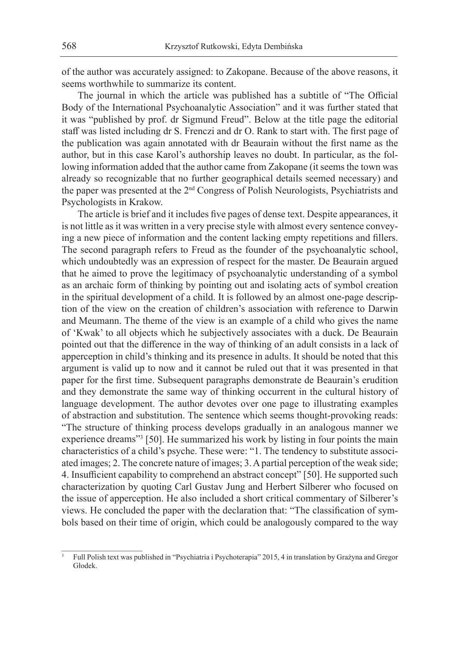of the author was accurately assigned: to Zakopane. Because of the above reasons, it seems worthwhile to summarize its content.

The journal in which the article was published has a subtitle of "The Official Body of the International Psychoanalytic Association" and it was further stated that it was "published by prof. dr Sigmund Freud". Below at the title page the editorial staff was listed including dr S. Frenczi and dr O. Rank to start with. The first page of the publication was again annotated with dr Beaurain without the first name as the author, but in this case Karol's authorship leaves no doubt. In particular, as the following information added that the author came from Zakopane (it seems the town was already so recognizable that no further geographical details seemed necessary) and the paper was presented at the 2nd Congress of Polish Neurologists, Psychiatrists and Psychologists in Krakow.

The article is brief and it includes five pages of dense text. Despite appearances, it is not little as it was written in a very precise style with almost every sentence conveying a new piece of information and the content lacking empty repetitions and fillers. The second paragraph refers to Freud as the founder of the psychoanalytic school, which undoubtedly was an expression of respect for the master. De Beaurain argued that he aimed to prove the legitimacy of psychoanalytic understanding of a symbol as an archaic form of thinking by pointing out and isolating acts of symbol creation in the spiritual development of a child. It is followed by an almost one-page description of the view on the creation of children's association with reference to Darwin and Meumann. The theme of the view is an example of a child who gives the name of 'Kwak' to all objects which he subjectively associates with a duck. De Beaurain pointed out that the difference in the way of thinking of an adult consists in a lack of apperception in child's thinking and its presence in adults. It should be noted that this argument is valid up to now and it cannot be ruled out that it was presented in that paper for the first time. Subsequent paragraphs demonstrate de Beaurain's erudition and they demonstrate the same way of thinking occurrent in the cultural history of language development. The author devotes over one page to illustrating examples of abstraction and substitution. The sentence which seems thought-provoking reads: "The structure of thinking process develops gradually in an analogous manner we experience dreams"3 [50]. He summarized his work by listing in four points the main characteristics of a child's psyche. These were: "1. The tendency to substitute associated images; 2. The concrete nature of images; 3. A partial perception of the weak side; 4. Insufficient capability to comprehend an abstract concept" [50]. He supported such characterization by quoting Carl Gustav Jung and Herbert Silberer who focused on the issue of apperception. He also included a short critical commentary of Silberer's views. He concluded the paper with the declaration that: "The classification of symbols based on their time of origin, which could be analogously compared to the way

<sup>3</sup> Full Polish text was published in "Psychiatria i Psychoterapia" 2015, 4 in translation by Grażyna and Gregor Głodek.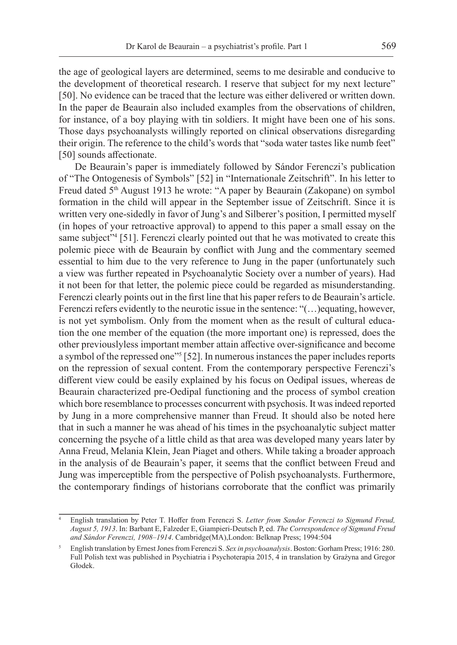the age of geological layers are determined, seems to me desirable and conducive to the development of theoretical research. I reserve that subject for my next lecture" [50]. No evidence can be traced that the lecture was either delivered or written down. In the paper de Beaurain also included examples from the observations of children, for instance, of a boy playing with tin soldiers. It might have been one of his sons. Those days psychoanalysts willingly reported on clinical observations disregarding their origin. The reference to the child's words that "soda water tastes like numb feet" [50] sounds affectionate.

De Beaurain's paper is immediately followed by Sándor Ferenczi's publication of "The Ontogenesis of Symbols" [52] in "Internationale Zeitschrift". In his letter to Freud dated 5<sup>th</sup> August 1913 he wrote: "A paper by Beaurain (Zakopane) on symbol formation in the child will appear in the September issue of Zeitschrift. Since it is written very one-sidedly in favor of Jung's and Silberer's position, I permitted myself (in hopes of your retroactive approval) to append to this paper a small essay on the same subject"<sup>4</sup> [51]. Ferenczi clearly pointed out that he was motivated to create this polemic piece with de Beaurain by conflict with Jung and the commentary seemed essential to him due to the very reference to Jung in the paper (unfortunately such a view was further repeated in Psychoanalytic Society over a number of years). Had it not been for that letter, the polemic piece could be regarded as misunderstanding. Ferenczi clearly points out in the first line that his paper refers to de Beaurain's article. Ferenczi refers evidently to the neurotic issue in the sentence: "(...) equating, however, is not yet symbolism. Only from the moment when as the result of cultural education the one member of the equation (the more important one) is repressed, does the other previouslyless important member attain affective over-significance and become a symbol of the repressed one"<sup>5</sup> [52]. In numerous instances the paper includes reports on the repression of sexual content. From the contemporary perspective Ferenczi's different view could be easily explained by his focus on Oedipal issues, whereas de Beaurain characterized pre-Oedipal functioning and the process of symbol creation which bore resemblance to processes concurrent with psychosis. It was indeed reported by Jung in a more comprehensive manner than Freud. It should also be noted here that in such a manner he was ahead of his times in the psychoanalytic subject matter concerning the psyche of a little child as that area was developed many years later by Anna Freud, Melania Klein, Jean Piaget and others. While taking a broader approach in the analysis of de Beaurain's paper, it seems that the conflict between Freud and Jung was imperceptible from the perspective of Polish psychoanalysts. Furthermore, the contemporary findings of historians corroborate that the conflict was primarily

<sup>4</sup> English translation by Peter T. Hoffer from Ferenczi S. *Letter from Sandor Ferenczi to Sigmund Freud, August 5, 1913*. In: Barbant E, Falzeder E, Giampieri-Deutsch P, ed. *The Correspondence of Sigmund Freud and Sándor Ferenczi, 1908–1914*. Cambridge(MA),London: Belknap Press; 1994:504

<sup>5</sup> English translation by Ernest Jones from Ferenczi S. *Sex in psychoanalysis*. Boston: Gorham Press; 1916: 280. Full Polish text was published in Psychiatria i Psychoterapia 2015, 4 in translation by Grażyna and Gregor Głodek.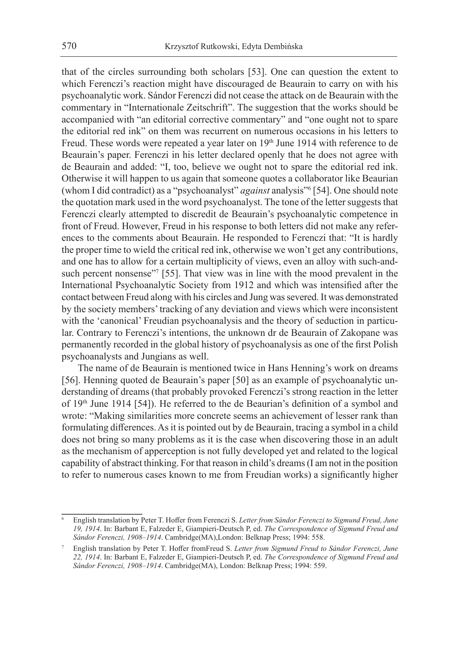that of the circles surrounding both scholars [53]. One can question the extent to which Ferenczi's reaction might have discouraged de Beaurain to carry on with his psychoanalytic work. Sándor Ferenczi did not cease the attack on de Beaurain with the commentary in "Internationale Zeitschrift". The suggestion that the works should be accompanied with "an editorial corrective commentary" and "one ought not to spare the editorial red ink" on them was recurrent on numerous occasions in his letters to Freud. These words were repeated a year later on 19<sup>th</sup> June 1914 with reference to de Beaurain's paper. Ferenczi in his letter declared openly that he does not agree with de Beaurain and added: "I, too, believe we ought not to spare the editorial red ink. Otherwise it will happen to us again that someone quotes a collaborator like Beaurian (whom I did contradict) as a "psychoanalyst" *against* analysis"<sup>6</sup> [54]. One should note the quotation mark used in the word psychoanalyst. The tone of the letter suggests that Ferenczi clearly attempted to discredit de Beaurain's psychoanalytic competence in front of Freud. However, Freud in his response to both letters did not make any references to the comments about Beaurain. He responded to Ferenczi that: "It is hardly the proper time to wield the critical red ink, otherwise we won't get any contributions, and one has to allow for a certain multiplicity of views, even an alloy with such-andsuch percent nonsense"<sup>7</sup> [55]. That view was in line with the mood prevalent in the International Psychoanalytic Society from 1912 and which was intensified after the contact between Freud along with his circles and Jung was severed. It was demonstrated by the society members' tracking of any deviation and views which were inconsistent with the 'canonical' Freudian psychoanalysis and the theory of seduction in particular. Contrary to Ferenczi's intentions, the unknown dr de Beaurain of Zakopane was permanently recorded in the global history of psychoanalysis as one of the first Polish psychoanalysts and Jungians as well.

The name of de Beaurain is mentioned twice in Hans Henning's work on dreams [56]. Henning quoted de Beaurain's paper [50] as an example of psychoanalytic understanding of dreams (that probably provoked Ferenczi's strong reaction in the letter of 19<sup>th</sup> June 1914 [54]). He referred to the de Beaurian's definition of a symbol and wrote: "Making similarities more concrete seems an achievement of lesser rank than formulating differences. As it is pointed out by de Beaurain, tracing a symbol in a child does not bring so many problems as it is the case when discovering those in an adult as the mechanism of apperception is not fully developed yet and related to the logical capability of abstract thinking. For that reason in child's dreams (I am not in the position to refer to numerous cases known to me from Freudian works) a significantly higher

<sup>6</sup> English translation by Peter T. Hoffer from Ferenczi S. *Letter from Sándor Ferenczi to Sigmund Freud, June 19, 1914*. In: Barbant E, Falzeder E, Giampieri-Deutsch P, ed. *The Correspondence of Sigmund Freud and Sándor Ferenczi, 1908–1914*. Cambridge(MA),London: Belknap Press; 1994: 558.

<sup>7</sup> English translation by Peter T. Hoffer fromFreud S. *Letter from Sigmund Freud to Sándor Ferenczi, June 22, 1914*. In: Barbant E, Falzeder E, Giampieri-Deutsch P, ed. *The Correspondence of Sigmund Freud and Sándor Ferenczi, 1908–1914*. Cambridge(MA), London: Belknap Press; 1994: 559.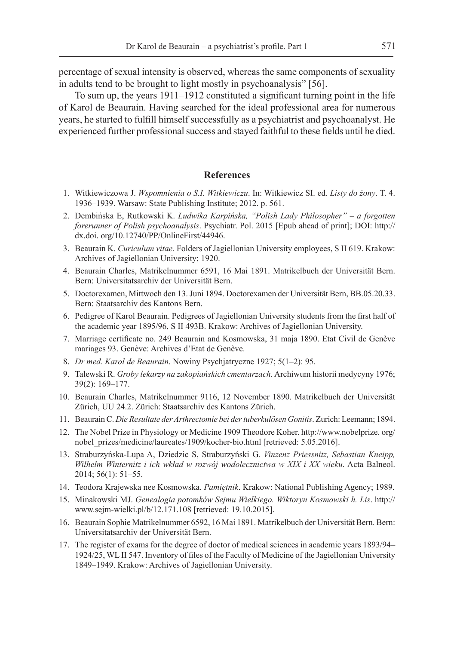percentage of sexual intensity is observed, whereas the same components of sexuality in adults tend to be brought to light mostly in psychoanalysis" [56].

To sum up, the years 1911–1912 constituted a significant turning point in the life of Karol de Beaurain. Having searched for the ideal professional area for numerous years, he started to fulfill himself successfully as a psychiatrist and psychoanalyst. He experienced further professional success and stayed faithful to these fields until he died.

# **References**

- 1. Witkiewiczowa J. *Wspomnienia o S.I. Witkiewiczu*. In: Witkiewicz SI. ed. *Listy do żony*. T. 4. 1936–1939. Warsaw: State Publishing Institute; 2012. p. 561.
- 2. Dembińska E, Rutkowski K. *Ludwika Karpińska, "Polish Lady Philosopher" a forgotten forerunner of Polish psychoanalysis*. Psychiatr. Pol. 2015 [Epub ahead of print]; DOI: http:// dx.doi. org/10.12740/PP/OnlineFirst/44946.
- 3. Beaurain K. *Curiculum vitae*. Folders of Jagiellonian University employees, S II 619. Krakow: Archives of Jagiellonian University; 1920.
- 4. Beaurain Charles, Matrikelnummer 6591, 16 Mai 1891. Matrikelbuch der Universität Bern. Bern: Universitatsarchiv der Universität Bern.
- 5. Doctorexamen, Mittwoch den 13. Juni 1894. Doctorexamen der Universität Bern, BB.05.20.33. Bern: Staatsarchiv des Kantons Bern.
- 6. Pedigree of Karol Beaurain. Pedigrees of Jagiellonian University students from the first half of the academic year 1895/96, S II 493B. Krakow: Archives of Jagiellonian University.
- 7. Marriage certificate no. 249 Beaurain and Kosmowska, 31 maja 1890. Etat Civil de Genève mariages 93. Genève: Archives d'Etat de Genève.
- 8. *Dr med. Karol de Beaurain*. Nowiny Psychjatryczne 1927; 5(1–2): 95.
- 9. Talewski R. *Groby lekarzy na zakopiańskich cmentarzach*. Archiwum historii medycyny 1976; 39(2): 169–177.
- 10. Beaurain Charles, Matrikelnummer 9116, 12 November 1890. Matrikelbuch der Universität Zürich, UU 24.2. Zürich: Staatsarchiv des Kantons Zürich.
- 11. Beaurain C. *Die Resultate der Arthrectomie bei der tuberkulösen Gonitis*. Zurich: Leemann; 1894.
- 12. The Nobel Prize in Physiology or Medicine 1909 Theodore Koher. http://www.nobelprize. org/ nobel\_prizes/medicine/laureates/1909/kocher-bio.html [retrieved: 5.05.2016].
- 13. Straburzyńska-Lupa A, Dziedzic S, Straburzyński G. *Vinzenz Priessnitz, Sebastian Kneipp, Wilhelm Winternitz i ich wkład w rozwój wodolecznictwa w XIX i XX wieku*. Acta Balneol. 2014; 56(1): 51–55.
- 14. Teodora Krajewska nee Kosmowska. *Pamiętnik*. Krakow: National Publishing Agency; 1989.
- 15. Minakowski MJ. *Genealogia potomków Sejmu Wielkiego. Wiktoryn Kosmowski h. Lis*. http:// www.sejm-wielki.pl/b/12.171.108 [retrieved: 19.10.2015].
- 16. Beaurain Sophie Matrikelnummer 6592, 16 Mai 1891. Matrikelbuch der Universität Bern. Bern: Universitatsarchiv der Universität Bern.
- 17. The register of exams for the degree of doctor of medical sciences in academic years 1893/94– 1924/25, WL II 547. Inventory of files of the Faculty of Medicine of the Jagiellonian University 1849–1949. Krakow: Archives of Jagiellonian University.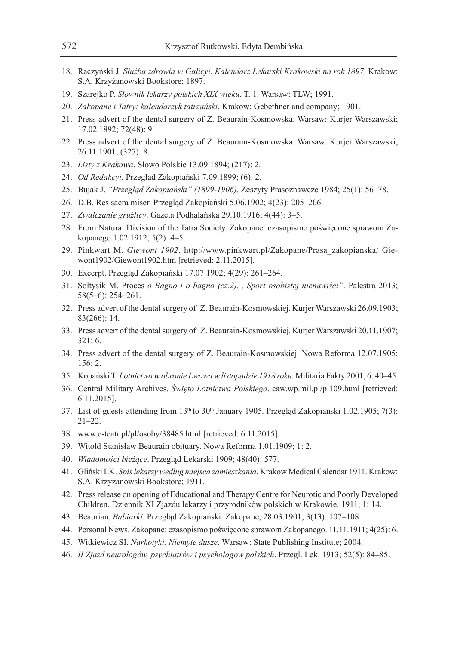- 18. Raczyński J. *Służba zdrowia w Galicyi. Kalendarz Lekarski Krakowski na rok 1897*. Krakow: S.A. Krzyżanowski Bookstore; 1897.
- 19. Szarejko P. *Słownik lekarzy polskich XIX wieku*. T. 1. Warsaw: TLW; 1991.
- 20. *Zakopane i Tatry: kalendarzyk tatrzański*. Krakow: Gebethner and company; 1901.
- 21. Press advert of the dental surgery of Z. Beaurain-Kosmowska. Warsaw: Kurjer Warszawski; 17.02.1892; 72(48): 9.
- 22. Press advert of the dental surgery of Z. Beaurain-Kosmowska. Warsaw: Kurjer Warszawski; 26.11.1901; (327): 8.
- 23. *Listy z Krakowa*. Słowo Polskie 13.09.1894; (217): 2.
- 24. *Od Redakcyi*. Przegląd Zakopiański 7.09.1899; (6): 2.
- 25. Bujak J. *"Przegląd Zakopiański" (1899-1906)*. Zeszyty Prasoznawcze 1984; 25(1): 56–78.
- 26. D.B. Res sacra miser. Przegląd Zakopiański 5.06.1902; 4(23): 205–206.
- 27. *Zwalczanie gruźlicy*. Gazeta Podhalańska 29.10.1916; 4(44): 3–5.
- 28. From Natural Division of the Tatra Society. Zakopane: czasopismo poświęcone sprawom Zakopanego 1.02.1912; 5(2): 4–5.
- 29. Pinkwart M. *Giewont 1902*. http://www.pinkwart.pl/Zakopane/Prasa\_zakopianska/ Giewont1902/Giewont1902.htm [retrieved: 2.11.2015].
- 30. Excerpt. Przegląd Zakopiański 17.07.1902; 4(29): 261–264.
- 31. Sołtysik M. Proces *o Bagno i o bagno (cz.2). "Sport osobistej nienawiści"*. Palestra 2013; 58(5–6): 254–261.
- 32. Press advert of the dental surgery of Z. Beaurain-Kosmowskiej. Kurjer Warszawski 26.09.1903; 83(266): 14.
- 33. Press advert of the dental surgery of Z. Beaurain-Kosmowskiej. Kurjer Warszawski 20.11.1907; 321: 6.
- 34. Press advert of the dental surgery of Z. Beaurain-Kosmowskiej. Nowa Reforma 12.07.1905; 156: 2.
- 35. Kopański T. *Lotnictwo w obronie Lwowa w listopadzie 1918 roku*. Militaria Fakty 2001; 6: 40–45.
- 36. Central Military Archives. *Święto Lotnictwa Polskiego*. caw.wp.mil.pl/pl109.html [retrieved: 6.11.2015].
- 37. List of guests attending from 13<sup>th</sup> to 30<sup>th</sup> January 1905. Przegląd Zakopiański 1.02.1905; 7(3): 21–22.
- 38. www.e-teatr.pl/pl/osoby/38485.html [retrieved: 6.11.2015].
- 39. Witold Stanisław Beaurain obituary. Nowa Reforma 1.01.1909; 1: 2.
- 40. *Wiadomości bieżące*. Przegląd Lekarski 1909; 48(40): 577.
- 41. Gliński LK. *Spis lekarzy według miejsca zamieszkania*. Krakow Medical Calendar 1911. Krakow: S.A. Krzyżanowski Bookstore; 1911.
- 42. Press release on opening of Educational and Therapy Centre for Neurotic and Poorly Developed Children. Dziennik XI Zjazdu lekarzy i przyrodników polskich w Krakowie. 1911; 1: 14.
- 43. Beaurian. *Babiarki*. Przegląd Zakopiański. Zakopane, 28.03.1901; 3(13): 107–108.
- 44. Personal News. Zakopane: czasopismo poświęcone sprawom Zakopanego. 11.11.1911; 4(25): 6.
- 45. Witkiewicz SI. *Narkotyki. Niemyte dusze*. Warsaw: State Publishing Institute; 2004.
- 46. *II Zjazd neurologów, psychiatrów i psychologow polskich*. Przegl. Lek. 1913; 52(5): 84–85.